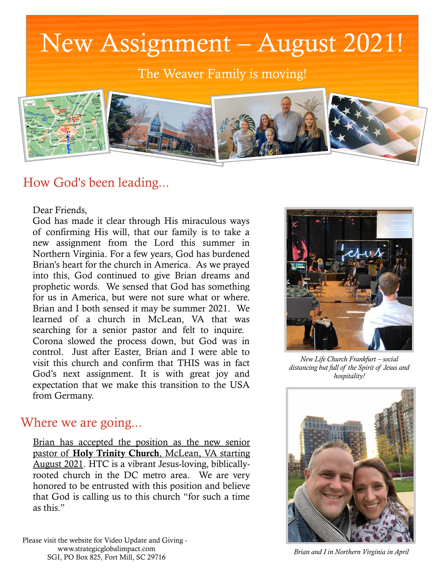

## How God's been leading...

Dear Friends,

God has made it clear through His miraculous ways of confirming His will, that our family is to take a new assignment from the Lord this summer in Northern Virginia. For a few years, God has burdened Brian's heart for the church in America. As we prayed into this, God continued to give Brian dreams and prophetic words. We sensed that God has something for us in America, but were not sure what or where. Brian and I both sensed it may be summer 2021. We learned of a church in McLean, VA that was searching for a senior pastor and felt to inquire. Corona slowed the process down, but God was in control. Just after Easter, Brian and I were able to visit this church and confirm that THIS was in fact God's next assignment. It is with great joy and expectation that we make this transition to the USA from Germany.

### Where we are going...

Brian has accepted the position as the new senior pastor of Holy Trinity Church, McLean, VA starting August 2021. HTC is a vibrant Jesus-loving, biblicallyrooted church in the DC metro area. We are very honored to be entrusted with this position and believe that God is calling us to this church "for such a time as this."

Please visit the website for Video Update and Giving [www.strategicglobalimpact.com](http://www.strategicglobalimpact.com/) SGI, PO Box 825, Fort Mill, SC 29716



*New Life Church Frankfurt – social distancing but full of the Spirit of Jesus and hospitality!*



*Brian and I in Northern Virginia in April*